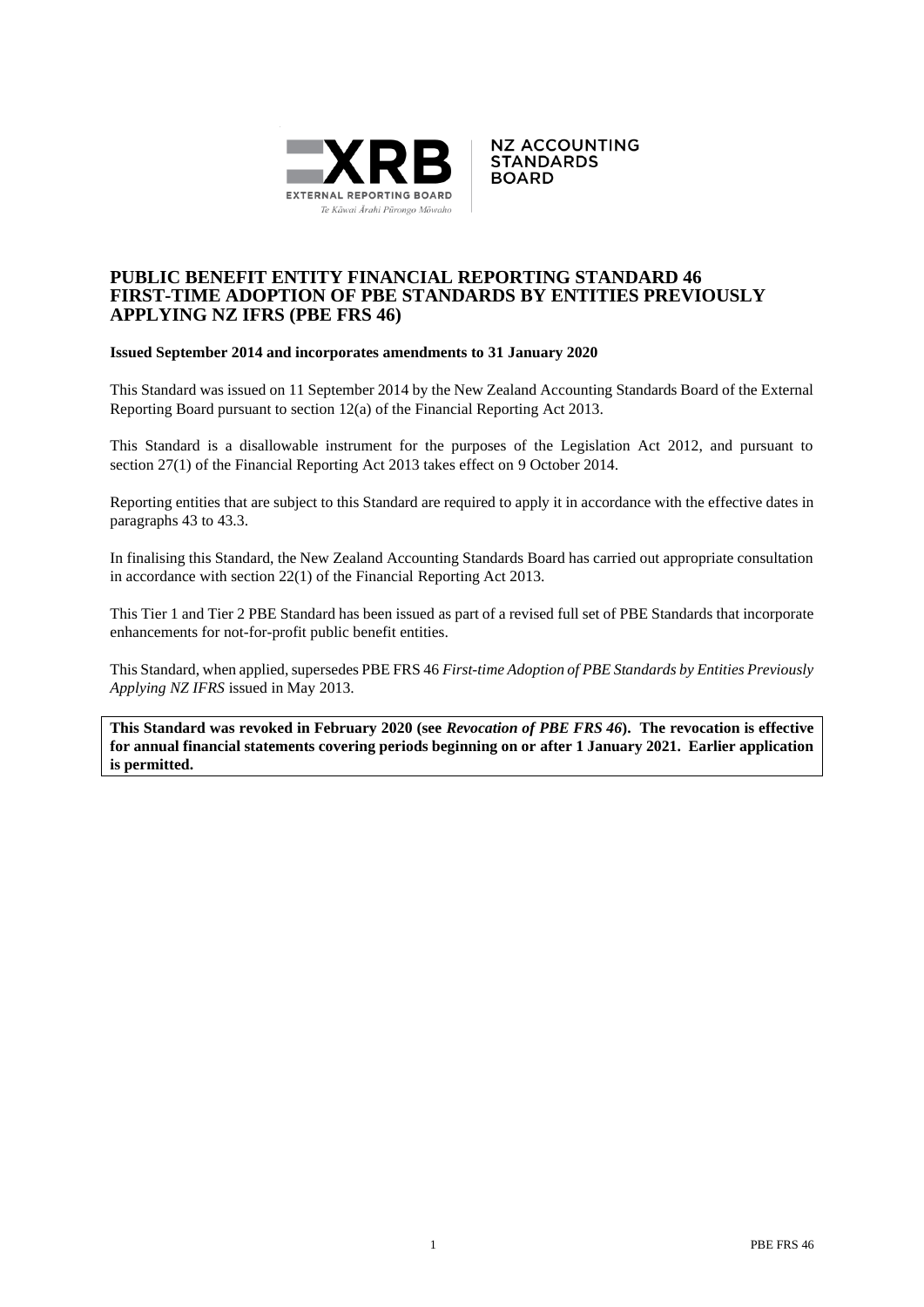



## **PUBLIC BENEFIT ENTITY FINANCIAL REPORTING STANDARD 46 FIRST-TIME ADOPTION OF PBE STANDARDS BY ENTITIES PREVIOUSLY APPLYING NZ IFRS (PBE FRS 46)**

## **Issued September 2014 and incorporates amendments to 31 January 2020**

This Standard was issued on 11 September 2014 by the New Zealand Accounting Standards Board of the External Reporting Board pursuant to section 12(a) of the Financial Reporting Act 2013.

This Standard is a disallowable instrument for the purposes of the Legislation Act 2012, and pursuant to section 27(1) of the Financial Reporting Act 2013 takes effect on 9 October 2014.

Reporting entities that are subject to this Standard are required to apply it in accordance with the effective dates in paragraphs 43 to 43.3.

In finalising this Standard, the New Zealand Accounting Standards Board has carried out appropriate consultation in accordance with section 22(1) of the Financial Reporting Act 2013.

This Tier 1 and Tier 2 PBE Standard has been issued as part of a revised full set of PBE Standards that incorporate enhancements for not-for-profit public benefit entities.

This Standard, when applied, supersedes PBE FRS 46 *First-time Adoption of PBE Standards by Entities Previously Applying NZ IFRS* issued in May 2013.

**This Standard was revoked in February 2020 (see** *Revocation of PBE FRS 46***). The revocation is effective for annual financial statements covering periods beginning on or after 1 January 2021. Earlier application is permitted.**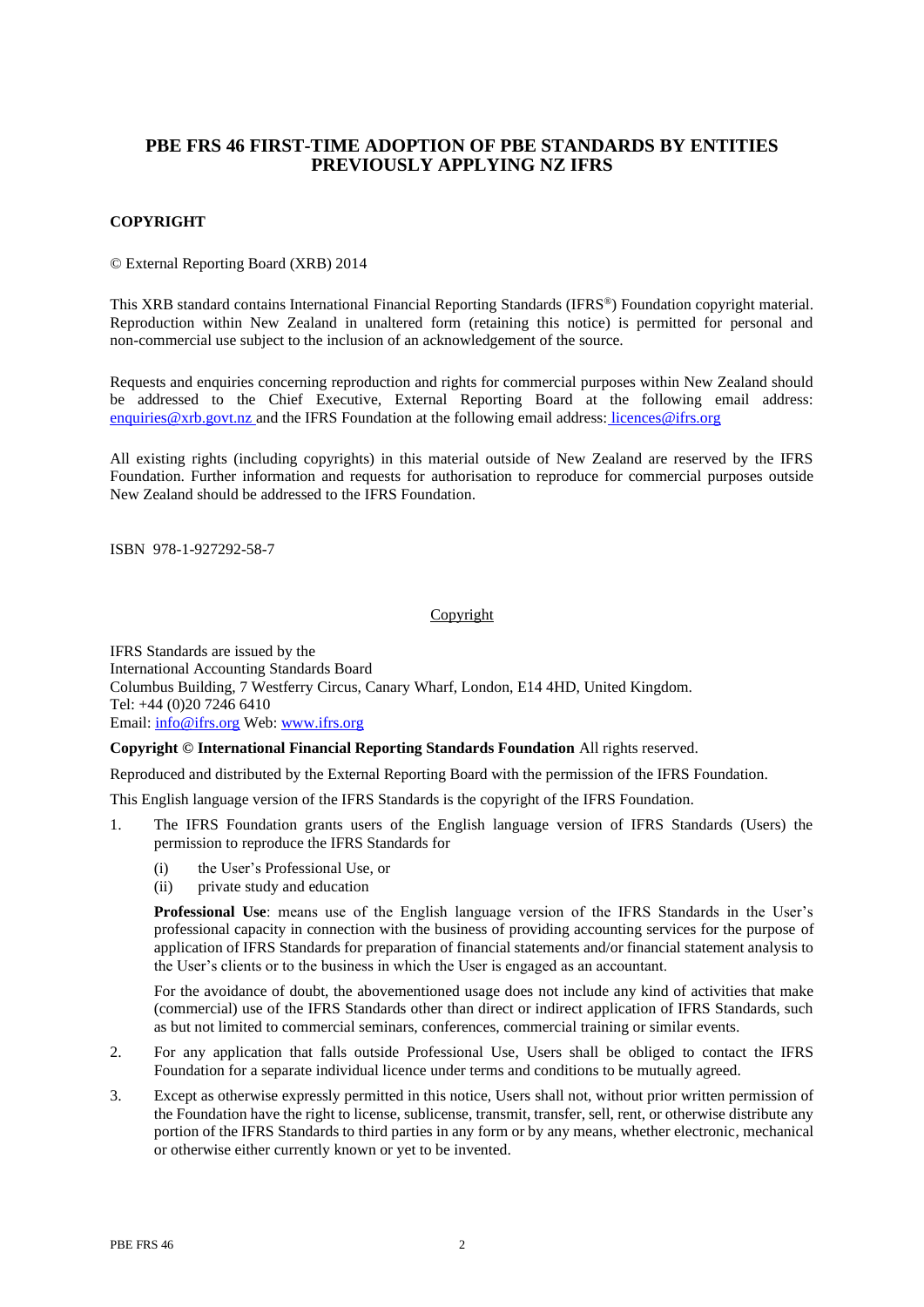# **PBE FRS 46 FIRST-TIME ADOPTION OF PBE STANDARDS BY ENTITIES PREVIOUSLY APPLYING NZ IFRS**

## **COPYRIGHT**

© External Reporting Board (XRB) 2014

This XRB standard contains International Financial Reporting Standards (IFRS®) Foundation copyright material. Reproduction within New Zealand in unaltered form (retaining this notice) is permitted for personal and non-commercial use subject to the inclusion of an acknowledgement of the source.

Requests and enquiries concerning reproduction and rights for commercial purposes within New Zealand should be addressed to the Chief Executive, External Reporting Board at the following email address: [enquiries@xrb.govt.nz](mailto:enquiries@xrb.govt.nz) and the IFRS Foundation at the following email address: licences@ifrs.org

All existing rights (including copyrights) in this material outside of New Zealand are reserved by the IFRS Foundation. Further information and requests for authorisation to reproduce for commercial purposes outside New Zealand should be addressed to the IFRS Foundation.

ISBN 978-1-927292-58-7

#### Copyright

IFRS Standards are issued by the International Accounting Standards Board Columbus Building, 7 Westferry Circus, Canary Wharf, London, E14 4HD, United Kingdom. Tel: +44 (0)20 7246 6410 Email: [info@ifrs.org](mailto:info@ifrs.org) Web: [www.ifrs.org](http://www.ifrs.org/)

## **Copyright © International Financial Reporting Standards Foundation** All rights reserved.

Reproduced and distributed by the External Reporting Board with the permission of the IFRS Foundation.

This English language version of the IFRS Standards is the copyright of the IFRS Foundation.

- 1. The IFRS Foundation grants users of the English language version of IFRS Standards (Users) the permission to reproduce the IFRS Standards for
	- (i) the User's Professional Use, or
	- (ii) private study and education

**Professional Use**: means use of the English language version of the IFRS Standards in the User's professional capacity in connection with the business of providing accounting services for the purpose of application of IFRS Standards for preparation of financial statements and/or financial statement analysis to the User's clients or to the business in which the User is engaged as an accountant.

For the avoidance of doubt, the abovementioned usage does not include any kind of activities that make (commercial) use of the IFRS Standards other than direct or indirect application of IFRS Standards, such as but not limited to commercial seminars, conferences, commercial training or similar events.

- 2. For any application that falls outside Professional Use, Users shall be obliged to contact the IFRS Foundation for a separate individual licence under terms and conditions to be mutually agreed.
- 3. Except as otherwise expressly permitted in this notice, Users shall not, without prior written permission of the Foundation have the right to license, sublicense, transmit, transfer, sell, rent, or otherwise distribute any portion of the IFRS Standards to third parties in any form or by any means, whether electronic, mechanical or otherwise either currently known or yet to be invented.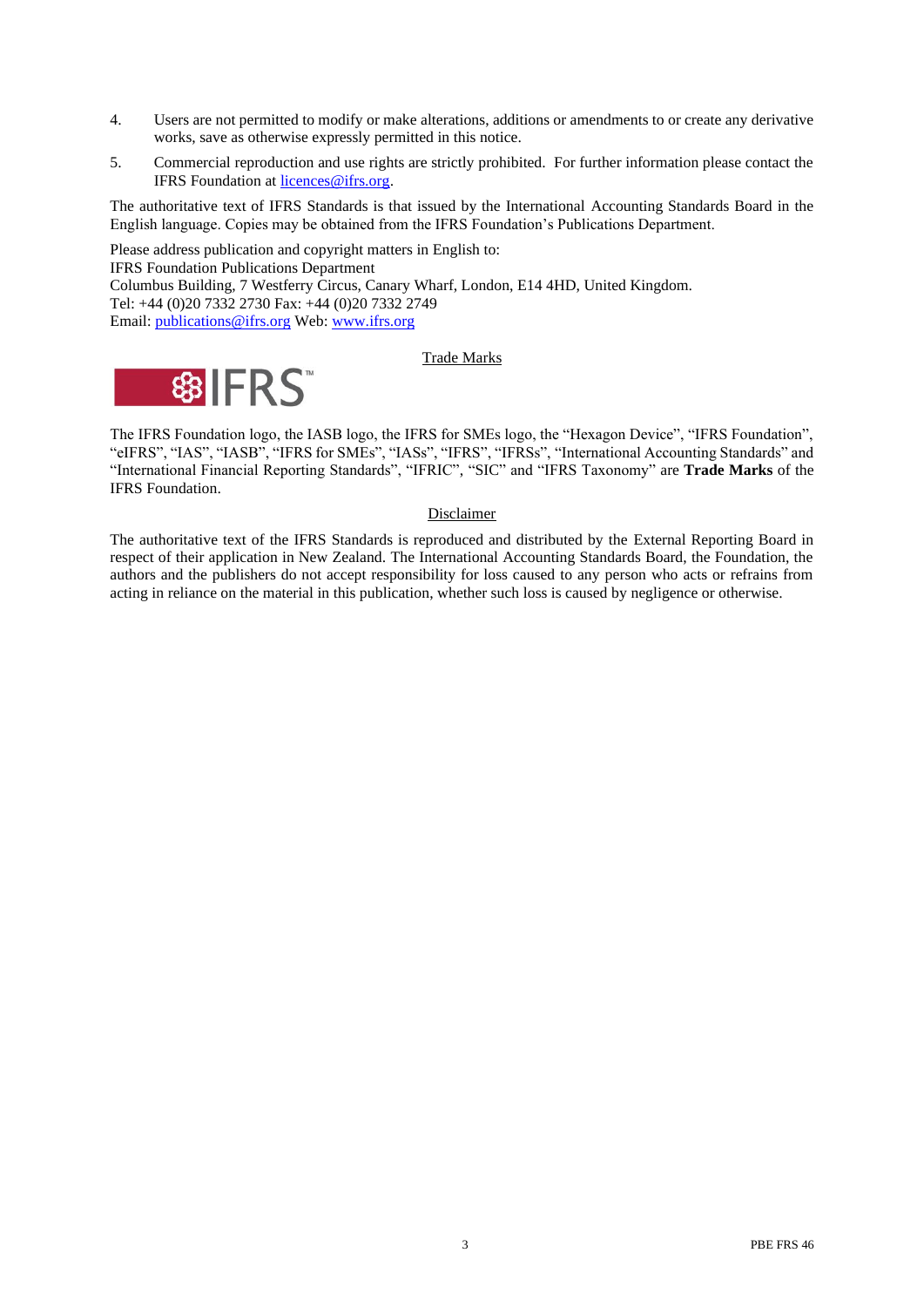- 4. Users are not permitted to modify or make alterations, additions or amendments to or create any derivative works, save as otherwise expressly permitted in this notice.
- 5. Commercial reproduction and use rights are strictly prohibited. For further information please contact the IFRS Foundation a[t licences@ifrs.org.](mailto:licences@ifrs.org)

The authoritative text of IFRS Standards is that issued by the International Accounting Standards Board in the English language. Copies may be obtained from the IFRS Foundation's Publications Department.

Please address publication and copyright matters in English to: IFRS Foundation Publications Department Columbus Building, 7 Westferry Circus, Canary Wharf, London, E14 4HD, United Kingdom. Tel: +44 (0)20 7332 2730 Fax: +44 (0)20 7332 2749 Email: [publications@ifrs.org](mailto:publications@ifrs.org) Web: [www.ifrs.org](http://www.ifrs.org/)

## Trade Marks



The IFRS Foundation logo, the IASB logo, the IFRS for SMEs logo, the "Hexagon Device", "IFRS Foundation", "eIFRS", "IAS", "IASB", "IFRS for SMEs", "IASs", "IFRS", "IFRSs", "International Accounting Standards" and "International Financial Reporting Standards", "IFRIC", "SIC" and "IFRS Taxonomy" are **Trade Marks** of the IFRS Foundation.

#### Disclaimer

The authoritative text of the IFRS Standards is reproduced and distributed by the External Reporting Board in respect of their application in New Zealand. The International Accounting Standards Board, the Foundation, the authors and the publishers do not accept responsibility for loss caused to any person who acts or refrains from acting in reliance on the material in this publication, whether such loss is caused by negligence or otherwise.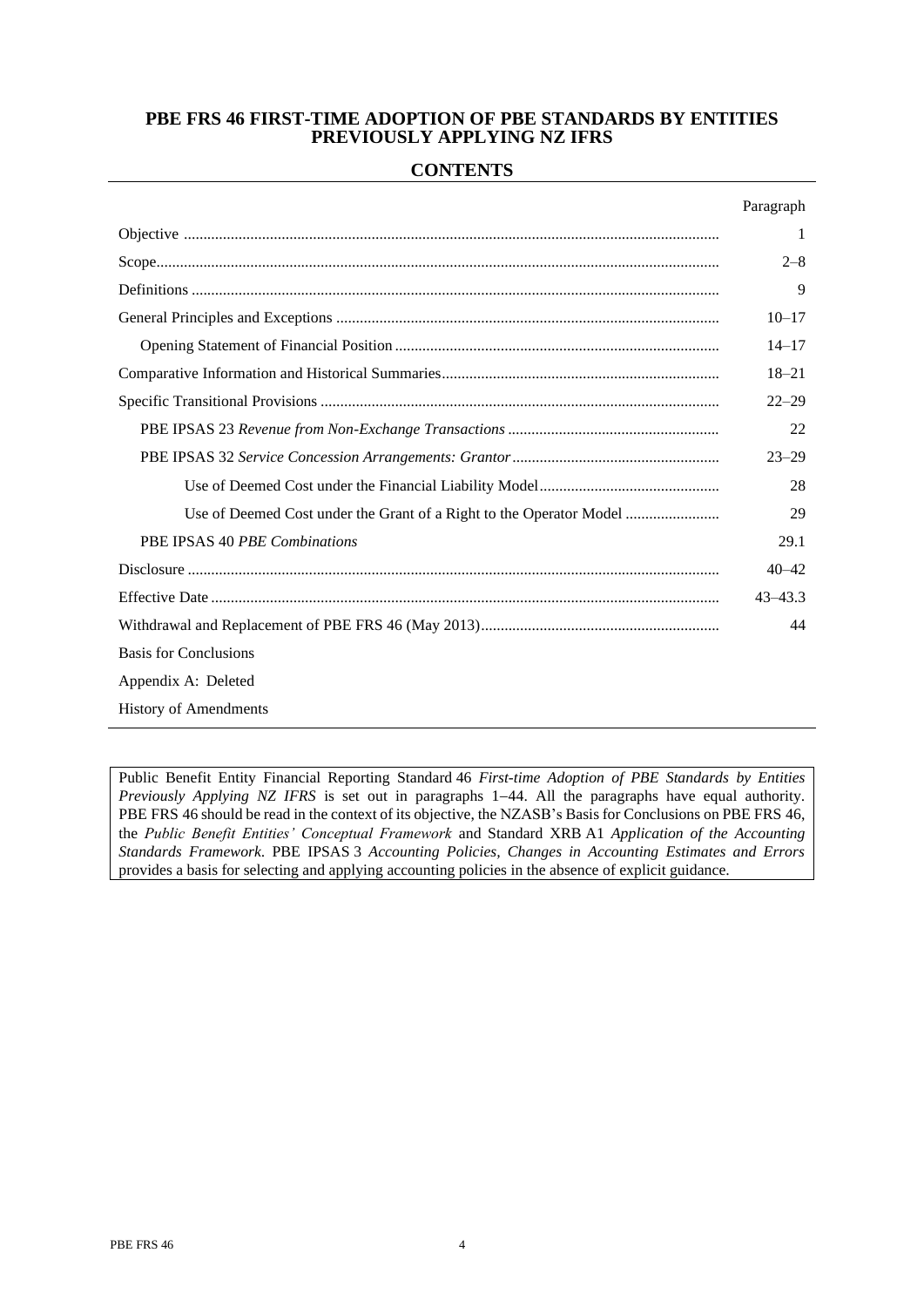# **PBE FRS 46 FIRST-TIME ADOPTION OF PBE STANDARDS BY ENTITIES PREVIOUSLY APPLYING NZ IFRS**

# **CONTENTS**

|                                                                     | Paragraph   |
|---------------------------------------------------------------------|-------------|
|                                                                     |             |
|                                                                     | $2 - 8$     |
|                                                                     | 9           |
|                                                                     | $10 - 17$   |
|                                                                     | $14 - 17$   |
|                                                                     | $18 - 21$   |
|                                                                     | $22 - 29$   |
|                                                                     | 22          |
|                                                                     | $23 - 29$   |
|                                                                     | 28          |
| Use of Deemed Cost under the Grant of a Right to the Operator Model | 29          |
| PBE IPSAS 40 PBE Combinations                                       | 29.1        |
|                                                                     | $40 - 42$   |
|                                                                     | $43 - 43.3$ |
|                                                                     | 44          |
| <b>Basis for Conclusions</b>                                        |             |
| Appendix A: Deleted                                                 |             |
|                                                                     |             |

History of Amendments

Public Benefit Entity Financial Reporting Standard 46 *First-time Adoption of PBE Standards by Entities Previously Applying NZ IFRS* is set out in paragraphs 1−44. All the paragraphs have equal authority. PBE FRS 46 should be read in the context of its objective, the NZASB's Basis for Conclusions on PBE FRS 46, the *Public Benefit Entities' Conceptual Framework* and Standard XRB A1 *Application of the Accounting Standards Framework*. PBE IPSAS 3 *Accounting Policies, Changes in Accounting Estimates and Errors* provides a basis for selecting and applying accounting policies in the absence of explicit guidance.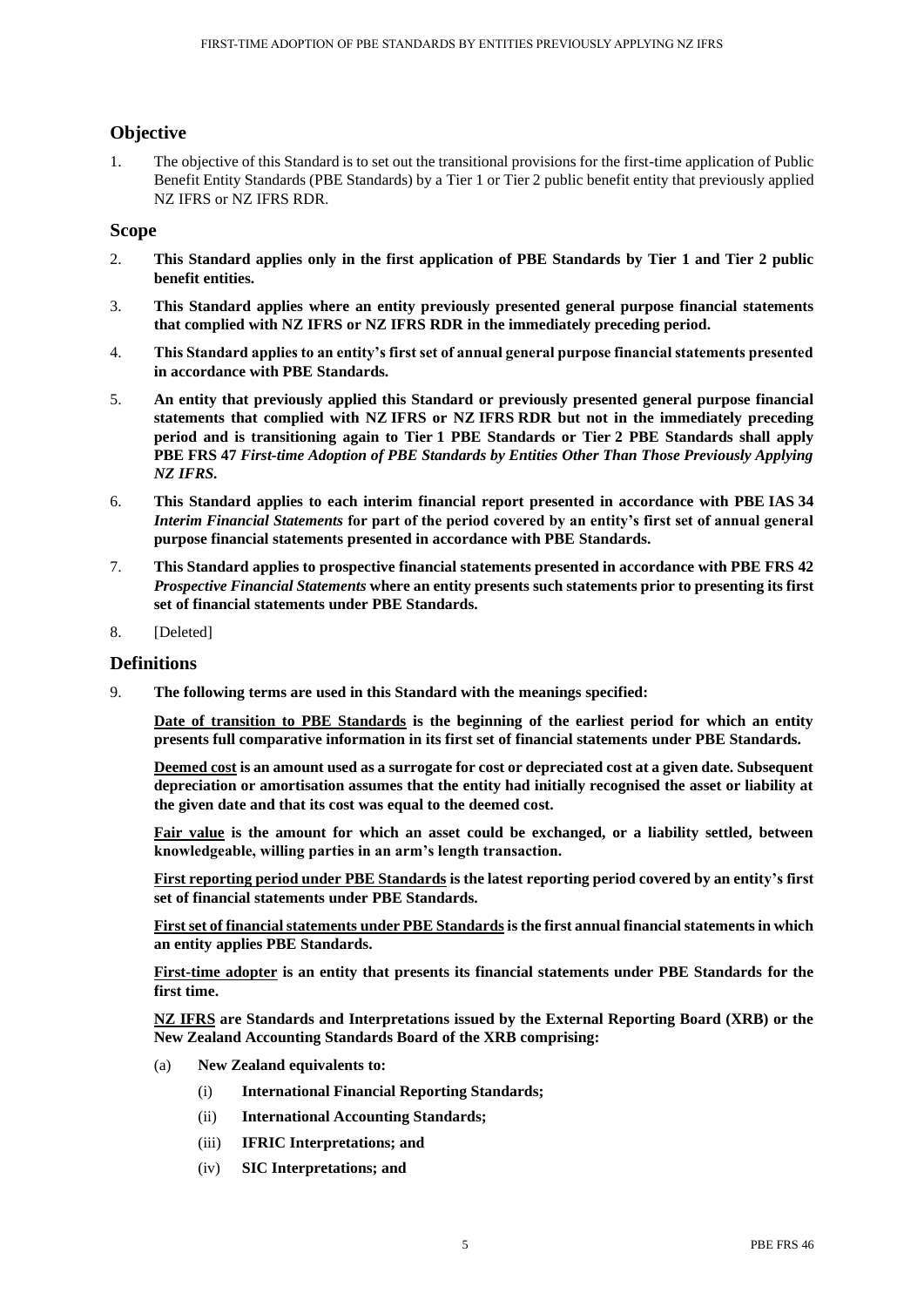# **Objective**

1. The objective of this Standard is to set out the transitional provisions for the first-time application of Public Benefit Entity Standards (PBE Standards) by a Tier 1 or Tier 2 public benefit entity that previously applied NZ IFRS or NZ IFRS RDR.

# **Scope**

- 2. **This Standard applies only in the first application of PBE Standards by Tier 1 and Tier 2 public benefit entities.**
- 3. **This Standard applies where an entity previously presented general purpose financial statements that complied with NZ IFRS or NZ IFRS RDR in the immediately preceding period.**
- 4. **This Standard applies to an entity's first set of annual general purpose financial statements presented in accordance with PBE Standards.**
- 5. **An entity that previously applied this Standard or previously presented general purpose financial statements that complied with NZ IFRS or NZ IFRS RDR but not in the immediately preceding period and is transitioning again to Tier 1 PBE Standards or Tier 2 PBE Standards shall apply PBE FRS 47** *First-time Adoption of PBE Standards by Entities Other Than Those Previously Applying NZ IFRS.*
- 6. **This Standard applies to each interim financial report presented in accordance with PBE IAS 34**  *Interim Financial Statements* **for part of the period covered by an entity's first set of annual general purpose financial statements presented in accordance with PBE Standards.**
- 7. **This Standard applies to prospective financial statements presented in accordance with PBE FRS 42**  *Prospective Financial Statements* **where an entity presents such statements prior to presenting its first set of financial statements under PBE Standards.**
- 8. [Deleted]

# **Definitions**

9. **The following terms are used in this Standard with the meanings specified:**

**Date of transition to PBE Standards is the beginning of the earliest period for which an entity presents full comparative information in its first set of financial statements under PBE Standards.**

**Deemed cost is an amount used as a surrogate for cost or depreciated cost at a given date. Subsequent depreciation or amortisation assumes that the entity had initially recognised the asset or liability at the given date and that its cost was equal to the deemed cost.**

**Fair value is the amount for which an asset could be exchanged, or a liability settled, between knowledgeable, willing parties in an arm's length transaction.**

**First reporting period under PBE Standards is the latest reporting period covered by an entity's first set of financial statements under PBE Standards.**

**First set of financial statements under PBE Standardsis the first annual financial statements in which an entity applies PBE Standards.**

**First-time adopter is an entity that presents its financial statements under PBE Standards for the first time.**

**NZ IFRS are Standards and Interpretations issued by the External Reporting Board (XRB) or the New Zealand Accounting Standards Board of the XRB comprising:**

- (a) **New Zealand equivalents to:**
	- (i) **International Financial Reporting Standards;**
	- (ii) **International Accounting Standards;**
	- (iii) **IFRIC Interpretations; and**
	- (iv) **SIC Interpretations; and**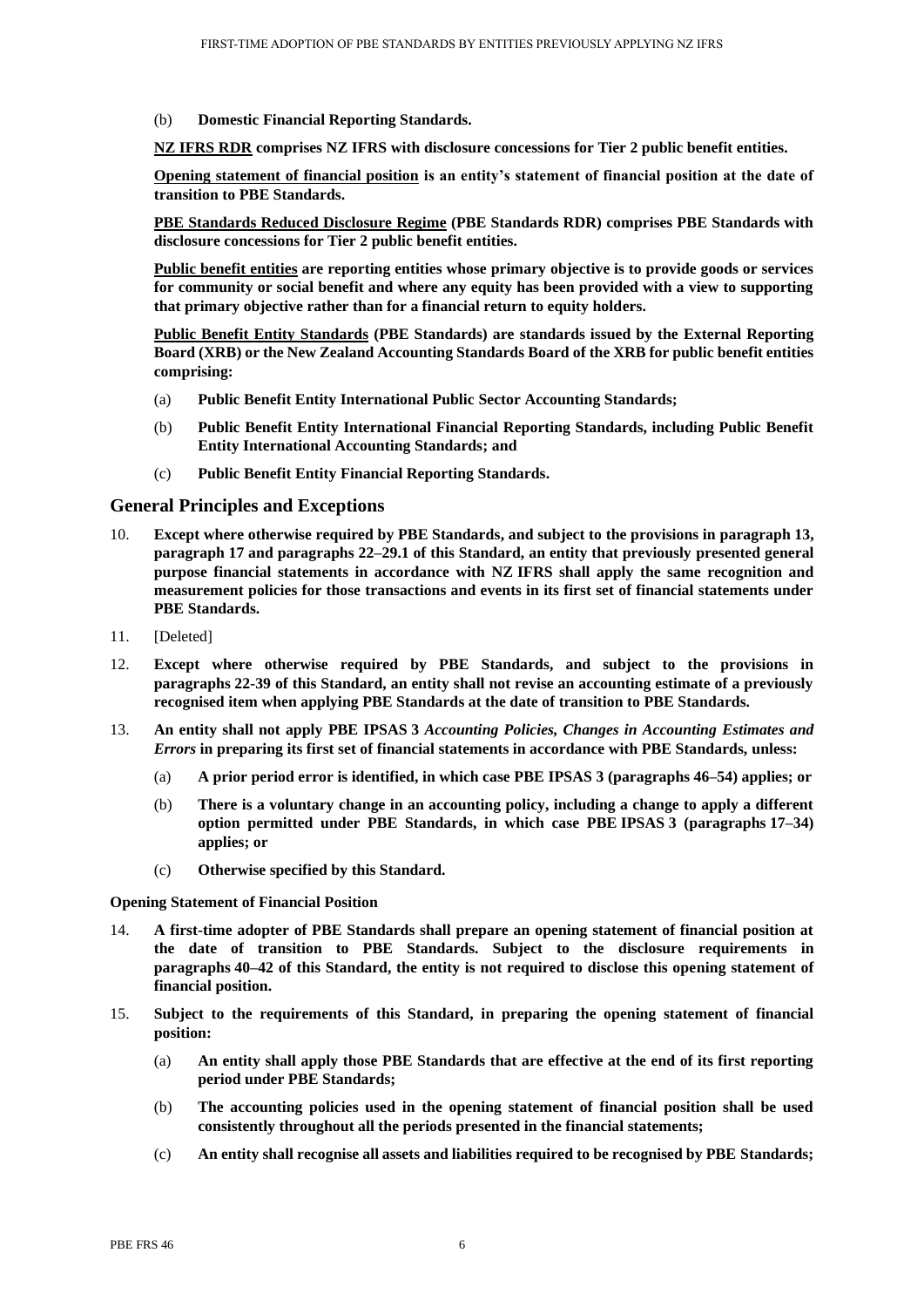(b) **Domestic Financial Reporting Standards.**

**NZ IFRS RDR comprises NZ IFRS with disclosure concessions for Tier 2 public benefit entities.**

**Opening statement of financial position is an entity's statement of financial position at the date of transition to PBE Standards.**

**PBE Standards Reduced Disclosure Regime (PBE Standards RDR) comprises PBE Standards with disclosure concessions for Tier 2 public benefit entities.**

**Public benefit entities are reporting entities whose primary objective is to provide goods or services for community or social benefit and where any equity has been provided with a view to supporting that primary objective rather than for a financial return to equity holders.**

**Public Benefit Entity Standards (PBE Standards) are standards issued by the External Reporting Board (XRB) or the New Zealand Accounting Standards Board of the XRB for public benefit entities comprising:**

- (a) **Public Benefit Entity International Public Sector Accounting Standards;**
- (b) **Public Benefit Entity International Financial Reporting Standards, including Public Benefit Entity International Accounting Standards; and**
- (c) **Public Benefit Entity Financial Reporting Standards.**

## **General Principles and Exceptions**

- 10. **Except where otherwise required by PBE Standards, and subject to the provisions in paragraph 13, paragraph 17 and paragraphs 22–29.1 of this Standard, an entity that previously presented general purpose financial statements in accordance with NZ IFRS shall apply the same recognition and measurement policies for those transactions and events in its first set of financial statements under PBE Standards.**
- 11. [Deleted]
- 12. **Except where otherwise required by PBE Standards, and subject to the provisions in paragraphs 22-39 of this Standard, an entity shall not revise an accounting estimate of a previously recognised item when applying PBE Standards at the date of transition to PBE Standards.**
- 13. **An entity shall not apply PBE IPSAS 3** *Accounting Policies, Changes in Accounting Estimates and Errors* **in preparing its first set of financial statements in accordance with PBE Standards, unless:**
	- (a) **A prior period error is identified, in which case PBE IPSAS 3 (paragraphs 46–54) applies; or**
	- (b) **There is a voluntary change in an accounting policy, including a change to apply a different option permitted under PBE Standards, in which case PBE IPSAS 3 (paragraphs 17–34) applies; or**
	- (c) **Otherwise specified by this Standard.**

#### **Opening Statement of Financial Position**

- 14. **A first-time adopter of PBE Standards shall prepare an opening statement of financial position at the date of transition to PBE Standards. Subject to the disclosure requirements in paragraphs 40–42 of this Standard, the entity is not required to disclose this opening statement of financial position.**
- 15. **Subject to the requirements of this Standard, in preparing the opening statement of financial position:**
	- (a) **An entity shall apply those PBE Standards that are effective at the end of its first reporting period under PBE Standards;**
	- (b) **The accounting policies used in the opening statement of financial position shall be used consistently throughout all the periods presented in the financial statements;**
	- (c) **An entity shall recognise all assets and liabilities required to be recognised by PBE Standards;**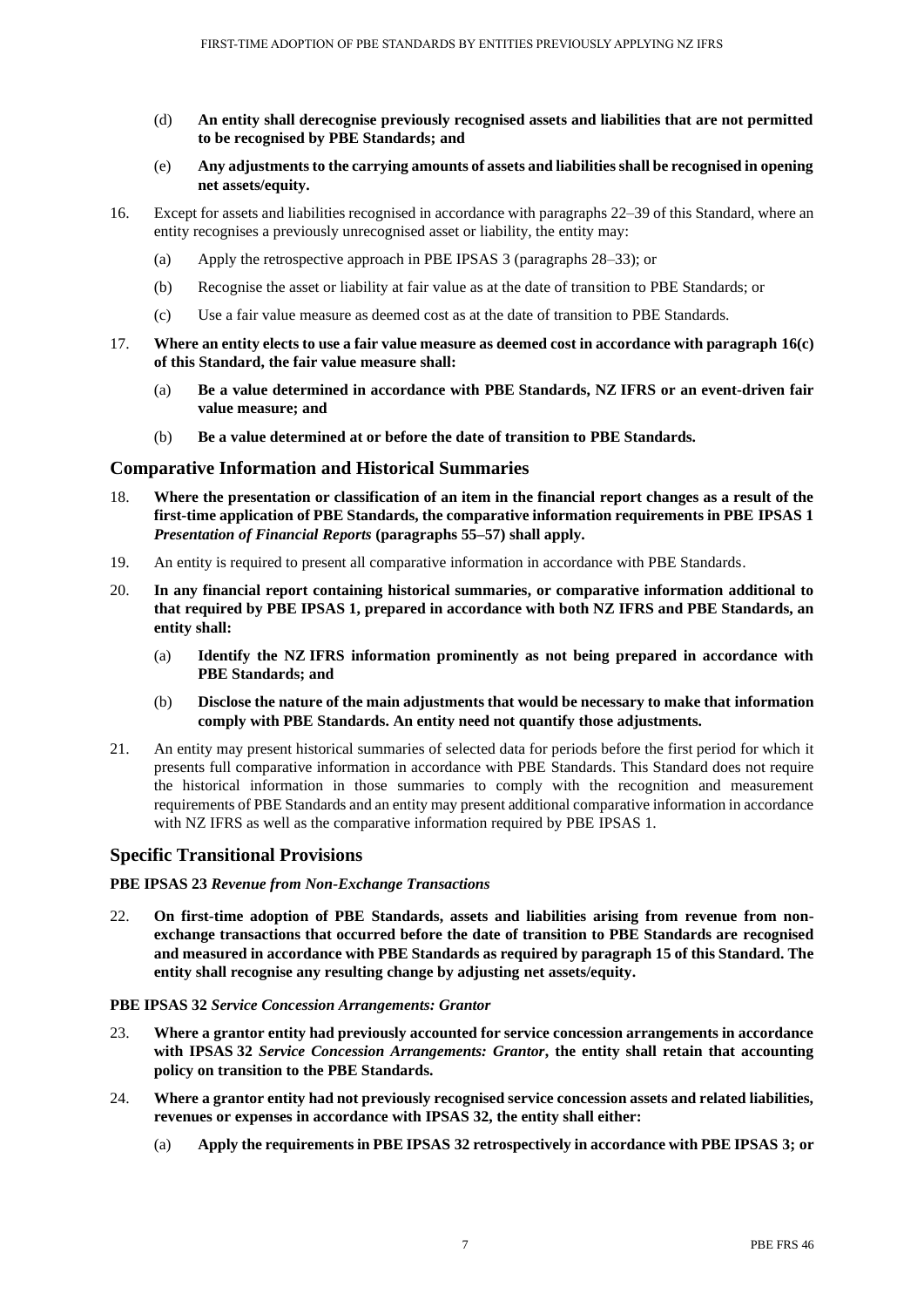- (d) **An entity shall derecognise previously recognised assets and liabilities that are not permitted to be recognised by PBE Standards; and**
- (e) **Any adjustments to the carrying amounts of assets and liabilities shall be recognised in opening net assets/equity.**
- 16. Except for assets and liabilities recognised in accordance with paragraphs 22–39 of this Standard, where an entity recognises a previously unrecognised asset or liability, the entity may:
	- (a) Apply the retrospective approach in PBE IPSAS 3 (paragraphs 28–33); or
	- (b) Recognise the asset or liability at fair value as at the date of transition to PBE Standards; or
	- (c) Use a fair value measure as deemed cost as at the date of transition to PBE Standards.
- 17. **Where an entity elects to use a fair value measure as deemed cost in accordance with paragraph 16(c) of this Standard, the fair value measure shall:**
	- (a) **Be a value determined in accordance with PBE Standards, NZ IFRS or an event-driven fair value measure; and**
	- (b) **Be a value determined at or before the date of transition to PBE Standards.**

# **Comparative Information and Historical Summaries**

- 18. **Where the presentation or classification of an item in the financial report changes as a result of the first-time application of PBE Standards, the comparative information requirements in PBE IPSAS 1**  *Presentation of Financial Reports* **(paragraphs 55–57) shall apply.**
- 19. An entity is required to present all comparative information in accordance with PBE Standards.
- 20. **In any financial report containing historical summaries, or comparative information additional to that required by PBE IPSAS 1, prepared in accordance with both NZ IFRS and PBE Standards, an entity shall:** 
	- (a) **Identify the NZ IFRS information prominently as not being prepared in accordance with PBE Standards; and**
	- (b) **Disclose the nature of the main adjustments that would be necessary to make that information comply with PBE Standards. An entity need not quantify those adjustments.**
- 21. An entity may present historical summaries of selected data for periods before the first period for which it presents full comparative information in accordance with PBE Standards. This Standard does not require the historical information in those summaries to comply with the recognition and measurement requirements of PBE Standards and an entity may present additional comparative information in accordance with NZ IFRS as well as the comparative information required by PBE IPSAS 1.

## **Specific Transitional Provisions**

#### **PBE IPSAS 23** *Revenue from Non-Exchange Transactions*

22. **On first-time adoption of PBE Standards, assets and liabilities arising from revenue from nonexchange transactions that occurred before the date of transition to PBE Standards are recognised and measured in accordance with PBE Standards as required by paragraph 15 of this Standard. The entity shall recognise any resulting change by adjusting net assets/equity.**

#### **PBE IPSAS 32** *Service Concession Arrangements: Grantor*

- 23. **Where a grantor entity had previously accounted for service concession arrangements in accordance with IPSAS 32** *Service Concession Arrangements: Grantor***, the entity shall retain that accounting policy on transition to the PBE Standards.**
- 24. **Where a grantor entity had not previously recognised service concession assets and related liabilities, revenues or expenses in accordance with IPSAS 32, the entity shall either:**
	- (a) **Apply the requirements in PBE IPSAS 32 retrospectively in accordance with PBE IPSAS 3; or**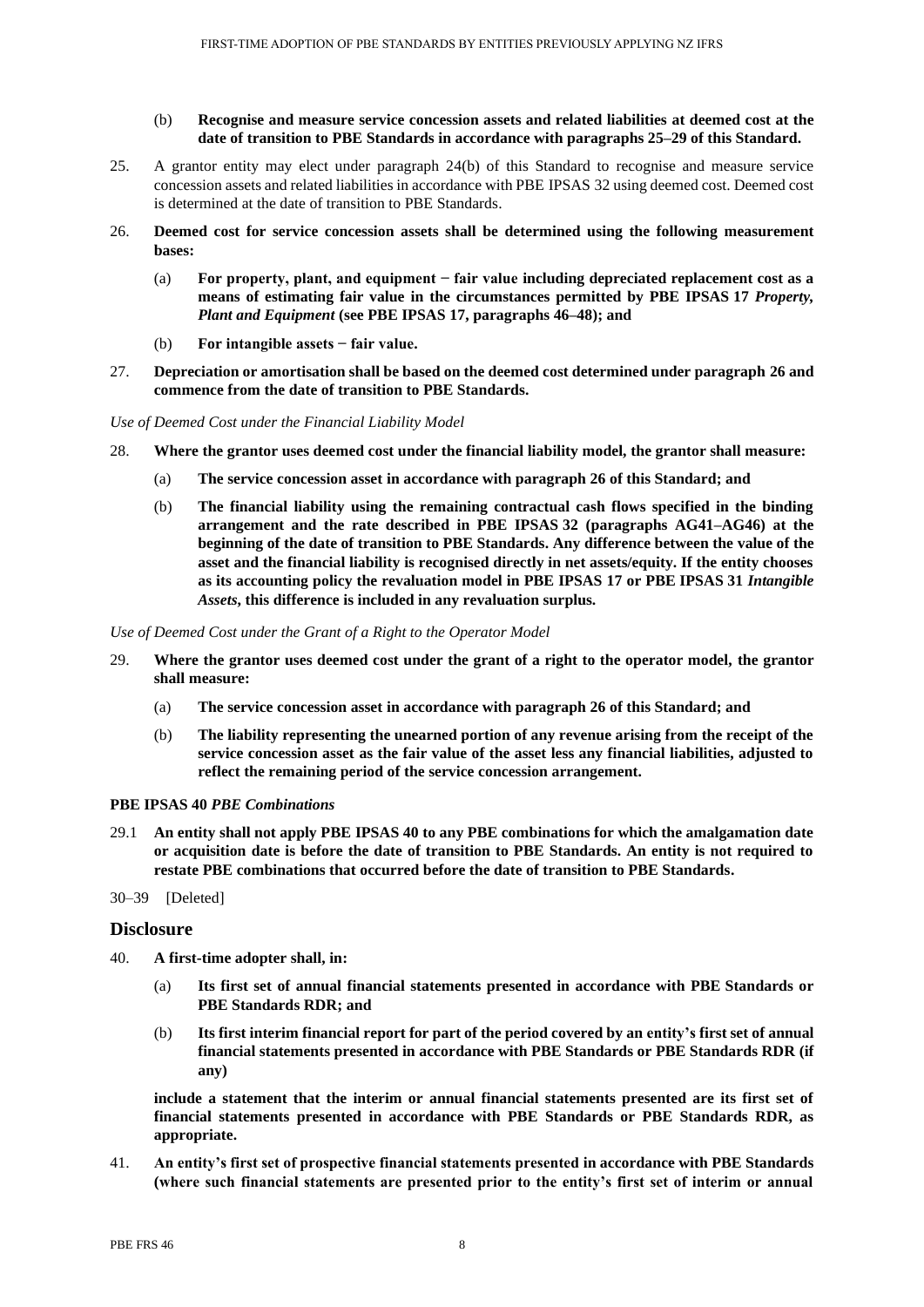- (b) **Recognise and measure service concession assets and related liabilities at deemed cost at the date of transition to PBE Standards in accordance with paragraphs 25–29 of this Standard.**
- 25. A grantor entity may elect under paragraph 24(b) of this Standard to recognise and measure service concession assets and related liabilities in accordance with PBE IPSAS 32 using deemed cost. Deemed cost is determined at the date of transition to PBE Standards.
- 26. **Deemed cost for service concession assets shall be determined using the following measurement bases:**
	- (a) **For property, plant, and equipment − fair value including depreciated replacement cost as a means of estimating fair value in the circumstances permitted by PBE IPSAS 17** *Property, Plant and Equipment* **(see PBE IPSAS 17, paragraphs 46–48); and**
	- (b) **For intangible assets − fair value.**
- 27. **Depreciation or amortisation shall be based on the deemed cost determined under paragraph 26 and commence from the date of transition to PBE Standards.**

*Use of Deemed Cost under the Financial Liability Model*

- 28. **Where the grantor uses deemed cost under the financial liability model, the grantor shall measure:**
	- (a) **The service concession asset in accordance with paragraph 26 of this Standard; and**
	- (b) **The financial liability using the remaining contractual cash flows specified in the binding arrangement and the rate described in PBE IPSAS 32 (paragraphs AG41–AG46) at the beginning of the date of transition to PBE Standards. Any difference between the value of the asset and the financial liability is recognised directly in net assets/equity. If the entity chooses as its accounting policy the revaluation model in PBE IPSAS 17 or PBE IPSAS 31** *Intangible Assets***, this difference is included in any revaluation surplus.**

*Use of Deemed Cost under the Grant of a Right to the Operator Model*

- 29. **Where the grantor uses deemed cost under the grant of a right to the operator model, the grantor shall measure:**
	- (a) **The service concession asset in accordance with paragraph 26 of this Standard; and**
	- (b) **The liability representing the unearned portion of any revenue arising from the receipt of the service concession asset as the fair value of the asset less any financial liabilities, adjusted to reflect the remaining period of the service concession arrangement.**

#### **PBE IPSAS 40** *PBE Combinations*

- 29.1 **An entity shall not apply PBE IPSAS 40 to any PBE combinations for which the amalgamation date or acquisition date is before the date of transition to PBE Standards. An entity is not required to restate PBE combinations that occurred before the date of transition to PBE Standards.**
- 30–39 [Deleted]

## **Disclosure**

- 40. **A first-time adopter shall, in:**
	- (a) **Its first set of annual financial statements presented in accordance with PBE Standards or PBE Standards RDR; and**
	- (b) **Its first interim financial report for part of the period covered by an entity's first set of annual financial statements presented in accordance with PBE Standards or PBE Standards RDR (if any)**

**include a statement that the interim or annual financial statements presented are its first set of financial statements presented in accordance with PBE Standards or PBE Standards RDR, as appropriate.**

41. **An entity's first set of prospective financial statements presented in accordance with PBE Standards (where such financial statements are presented prior to the entity's first set of interim or annual**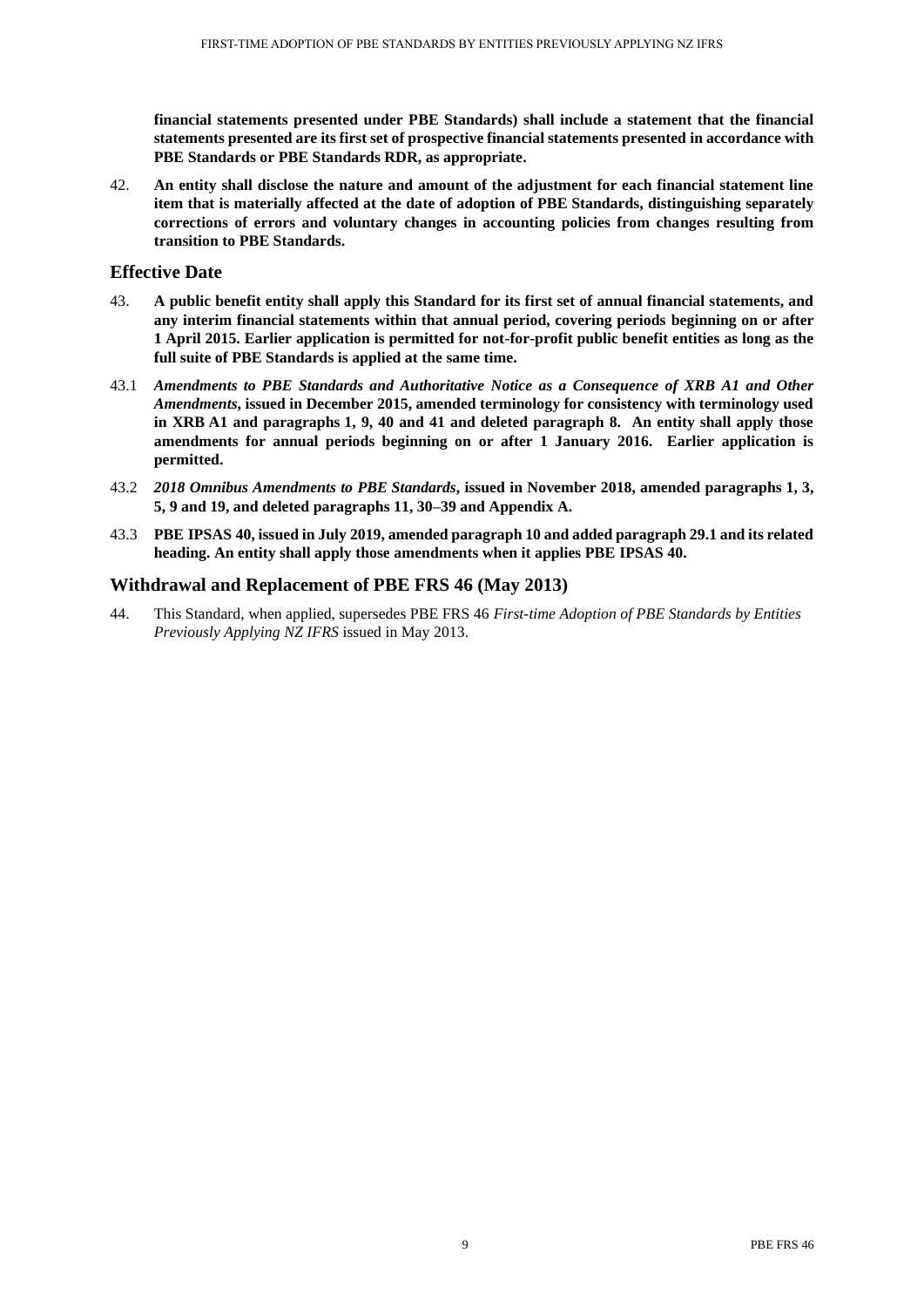**financial statements presented under PBE Standards) shall include a statement that the financial statements presented are its first set of prospective financial statements presented in accordance with PBE Standards or PBE Standards RDR, as appropriate.**

42. **An entity shall disclose the nature and amount of the adjustment for each financial statement line item that is materially affected at the date of adoption of PBE Standards, distinguishing separately corrections of errors and voluntary changes in accounting policies from changes resulting from transition to PBE Standards.**

## **Effective Date**

- 43. **A public benefit entity shall apply this Standard for its first set of annual financial statements, and any interim financial statements within that annual period, covering periods beginning on or after 1 April 2015. Earlier application is permitted for not-for-profit public benefit entities as long as the full suite of PBE Standards is applied at the same time.**
- 43.1 *Amendments to PBE Standards and Authoritative Notice as a Consequence of XRB A1 and Other Amendments***, issued in December 2015, amended terminology for consistency with terminology used in XRB A1 and paragraphs 1, 9, 40 and 41 and deleted paragraph 8. An entity shall apply those amendments for annual periods beginning on or after 1 January 2016. Earlier application is permitted.**
- 43.2 *2018 Omnibus Amendments to PBE Standards***, issued in November 2018, amended paragraphs 1, 3, 5, 9 and 19, and deleted paragraphs 11, 30–39 and Appendix A.**
- 43.3 **PBE IPSAS 40, issued in July 2019, amended paragraph 10 and added paragraph 29.1 and its related heading. An entity shall apply those amendments when it applies PBE IPSAS 40.**

## **Withdrawal and Replacement of PBE FRS 46 (May 2013)**

44. This Standard, when applied, supersedes PBE FRS 46 *First-time Adoption of PBE Standards by Entities Previously Applying NZ IFRS* issued in May 2013.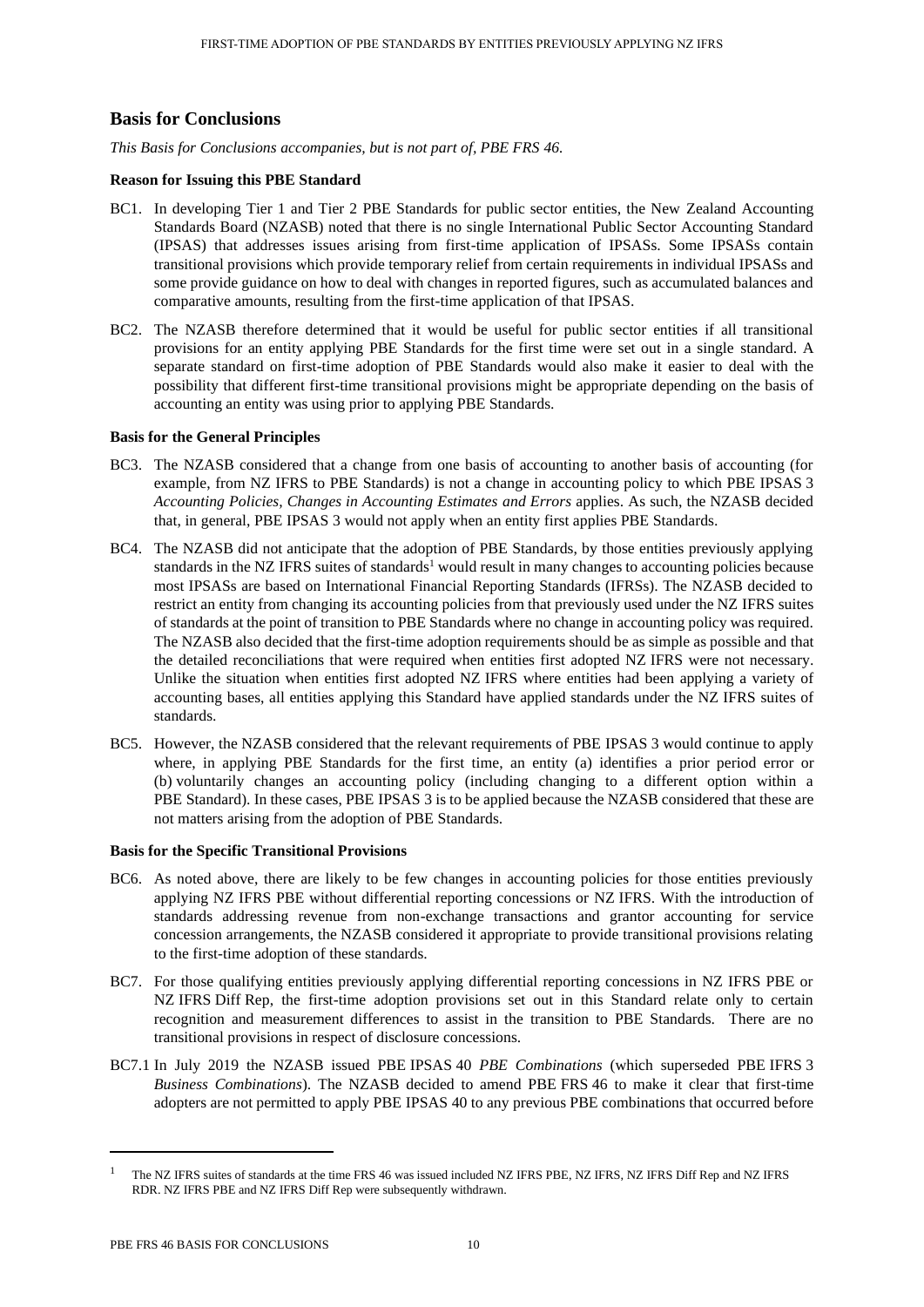# **Basis for Conclusions**

*This Basis for Conclusions accompanies, but is not part of, PBE FRS 46.* 

## **Reason for Issuing this PBE Standard**

- BC1. In developing Tier 1 and Tier 2 PBE Standards for public sector entities, the New Zealand Accounting Standards Board (NZASB) noted that there is no single International Public Sector Accounting Standard (IPSAS) that addresses issues arising from first-time application of IPSASs. Some IPSASs contain transitional provisions which provide temporary relief from certain requirements in individual IPSASs and some provide guidance on how to deal with changes in reported figures, such as accumulated balances and comparative amounts, resulting from the first-time application of that IPSAS.
- BC2. The NZASB therefore determined that it would be useful for public sector entities if all transitional provisions for an entity applying PBE Standards for the first time were set out in a single standard. A separate standard on first-time adoption of PBE Standards would also make it easier to deal with the possibility that different first-time transitional provisions might be appropriate depending on the basis of accounting an entity was using prior to applying PBE Standards.

## **Basis for the General Principles**

- BC3. The NZASB considered that a change from one basis of accounting to another basis of accounting (for example, from NZ IFRS to PBE Standards) is not a change in accounting policy to which PBE IPSAS 3 *Accounting Policies, Changes in Accounting Estimates and Errors* applies. As such, the NZASB decided that, in general, PBE IPSAS 3 would not apply when an entity first applies PBE Standards.
- BC4. The NZASB did not anticipate that the adoption of PBE Standards, by those entities previously applying standards in the NZ IFRS suites of standards<sup>1</sup> would result in many changes to accounting policies because most IPSASs are based on International Financial Reporting Standards (IFRSs). The NZASB decided to restrict an entity from changing its accounting policies from that previously used under the NZ IFRS suites of standards at the point of transition to PBE Standards where no change in accounting policy was required. The NZASB also decided that the first-time adoption requirements should be as simple as possible and that the detailed reconciliations that were required when entities first adopted NZ IFRS were not necessary. Unlike the situation when entities first adopted NZ IFRS where entities had been applying a variety of accounting bases, all entities applying this Standard have applied standards under the NZ IFRS suites of standards.
- BC5. However, the NZASB considered that the relevant requirements of PBE IPSAS 3 would continue to apply where, in applying PBE Standards for the first time, an entity (a) identifies a prior period error or (b) voluntarily changes an accounting policy (including changing to a different option within a PBE Standard). In these cases, PBE IPSAS 3 is to be applied because the NZASB considered that these are not matters arising from the adoption of PBE Standards.

## **Basis for the Specific Transitional Provisions**

- BC6. As noted above, there are likely to be few changes in accounting policies for those entities previously applying NZ IFRS PBE without differential reporting concessions or NZ IFRS. With the introduction of standards addressing revenue from non-exchange transactions and grantor accounting for service concession arrangements, the NZASB considered it appropriate to provide transitional provisions relating to the first-time adoption of these standards.
- BC7. For those qualifying entities previously applying differential reporting concessions in NZ IFRS PBE or NZ IFRS Diff Rep, the first-time adoption provisions set out in this Standard relate only to certain recognition and measurement differences to assist in the transition to PBE Standards. There are no transitional provisions in respect of disclosure concessions.
- BC7.1 In July 2019 the NZASB issued PBE IPSAS 40 *PBE Combinations* (which superseded PBE IFRS 3 *Business Combinations*). The NZASB decided to amend PBE FRS 46 to make it clear that first-time adopters are not permitted to apply PBE IPSAS 40 to any previous PBE combinations that occurred before

<sup>1</sup> The NZ IFRS suites of standards at the time FRS 46 was issued included NZ IFRS PBE, NZ IFRS, NZ IFRS Diff Rep and NZ IFRS RDR. NZ IFRS PBE and NZ IFRS Diff Rep were subsequently withdrawn.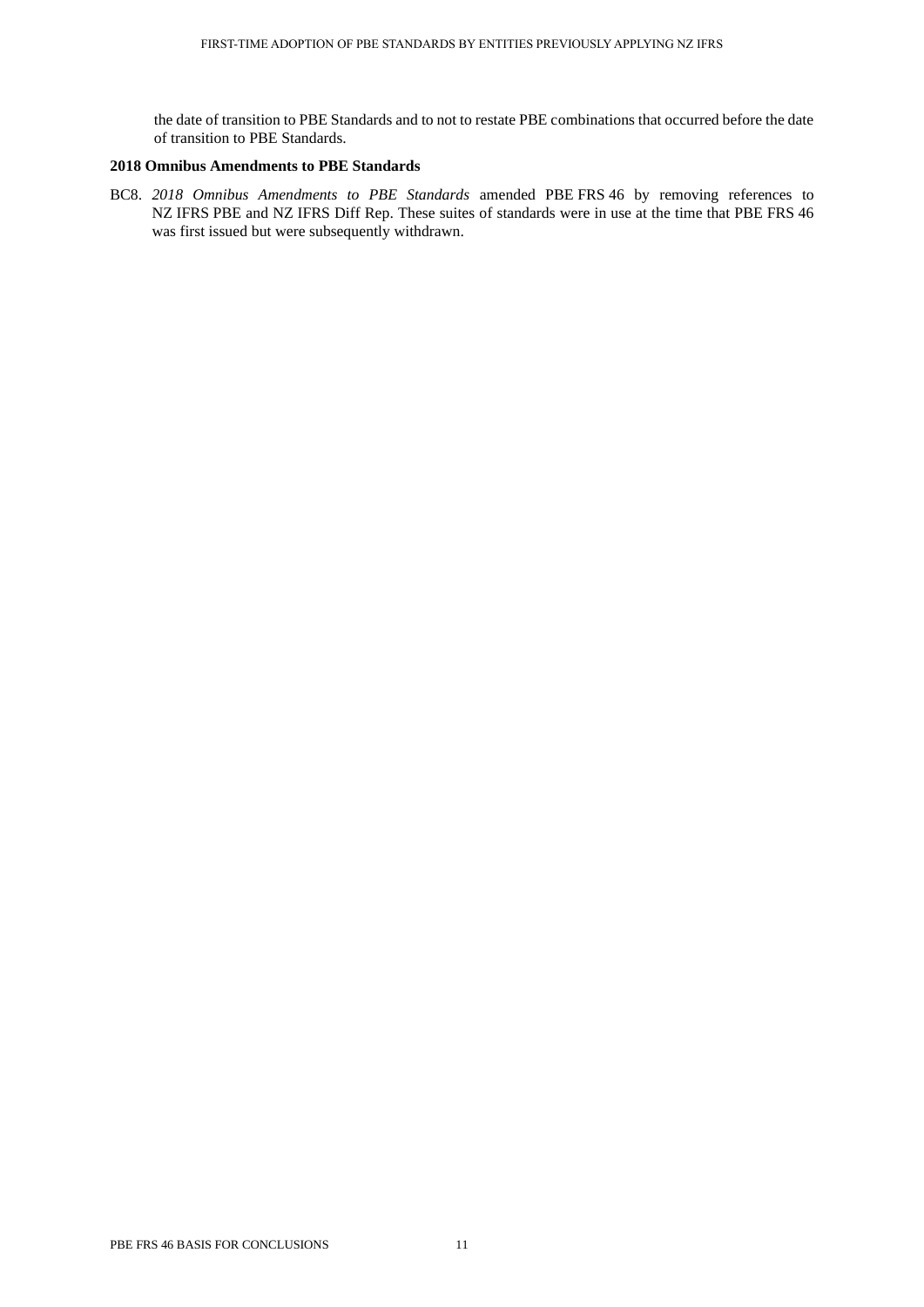the date of transition to PBE Standards and to not to restate PBE combinations that occurred before the date of transition to PBE Standards.

## **2018 Omnibus Amendments to PBE Standards**

BC8. *2018 Omnibus Amendments to PBE Standards* amended PBE FRS 46 by removing references to NZ IFRS PBE and NZ IFRS Diff Rep. These suites of standards were in use at the time that PBE FRS 46 was first issued but were subsequently withdrawn.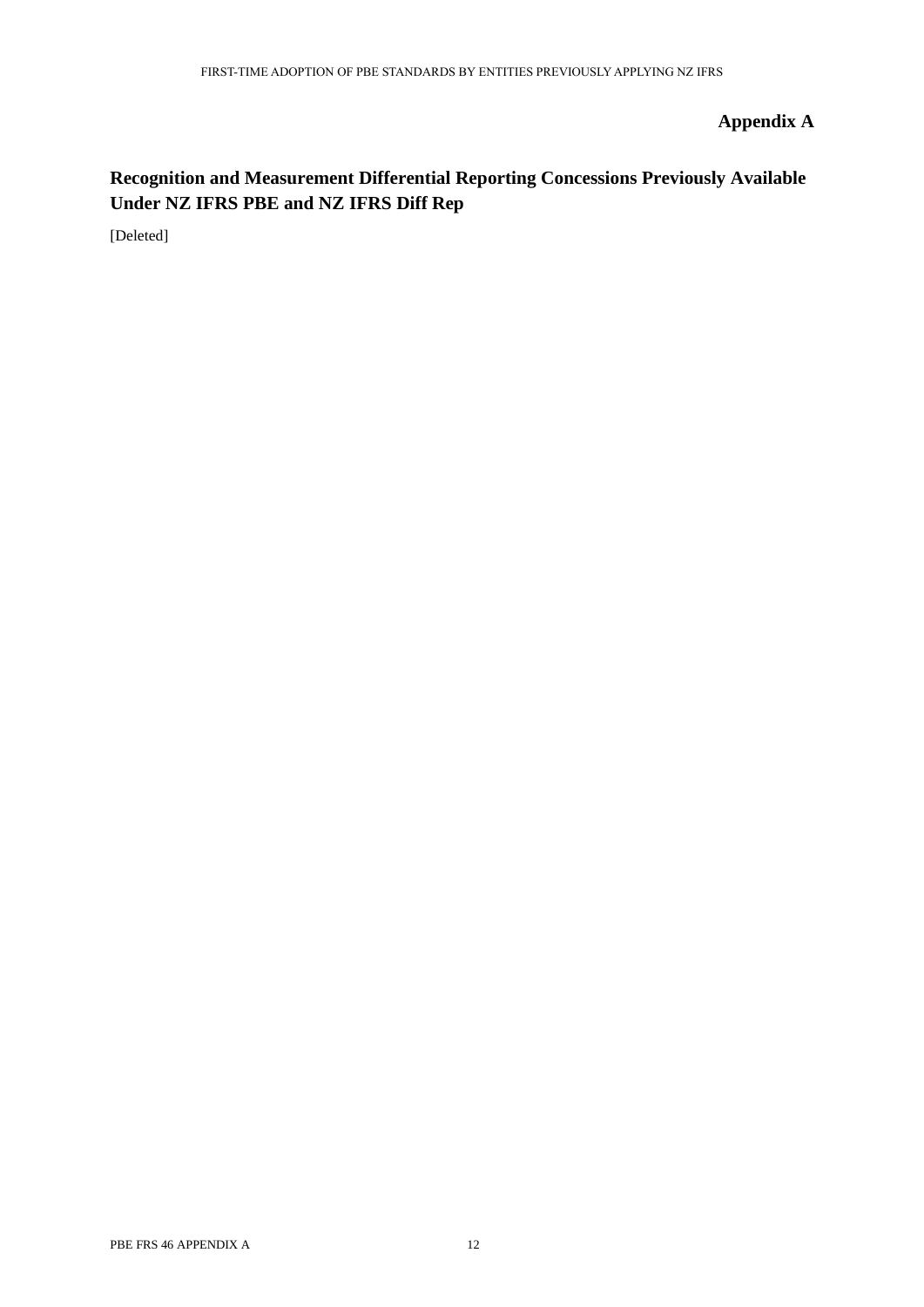# **Appendix A**

# **Recognition and Measurement Differential Reporting Concessions Previously Available Under NZ IFRS PBE and NZ IFRS Diff Rep**

[Deleted]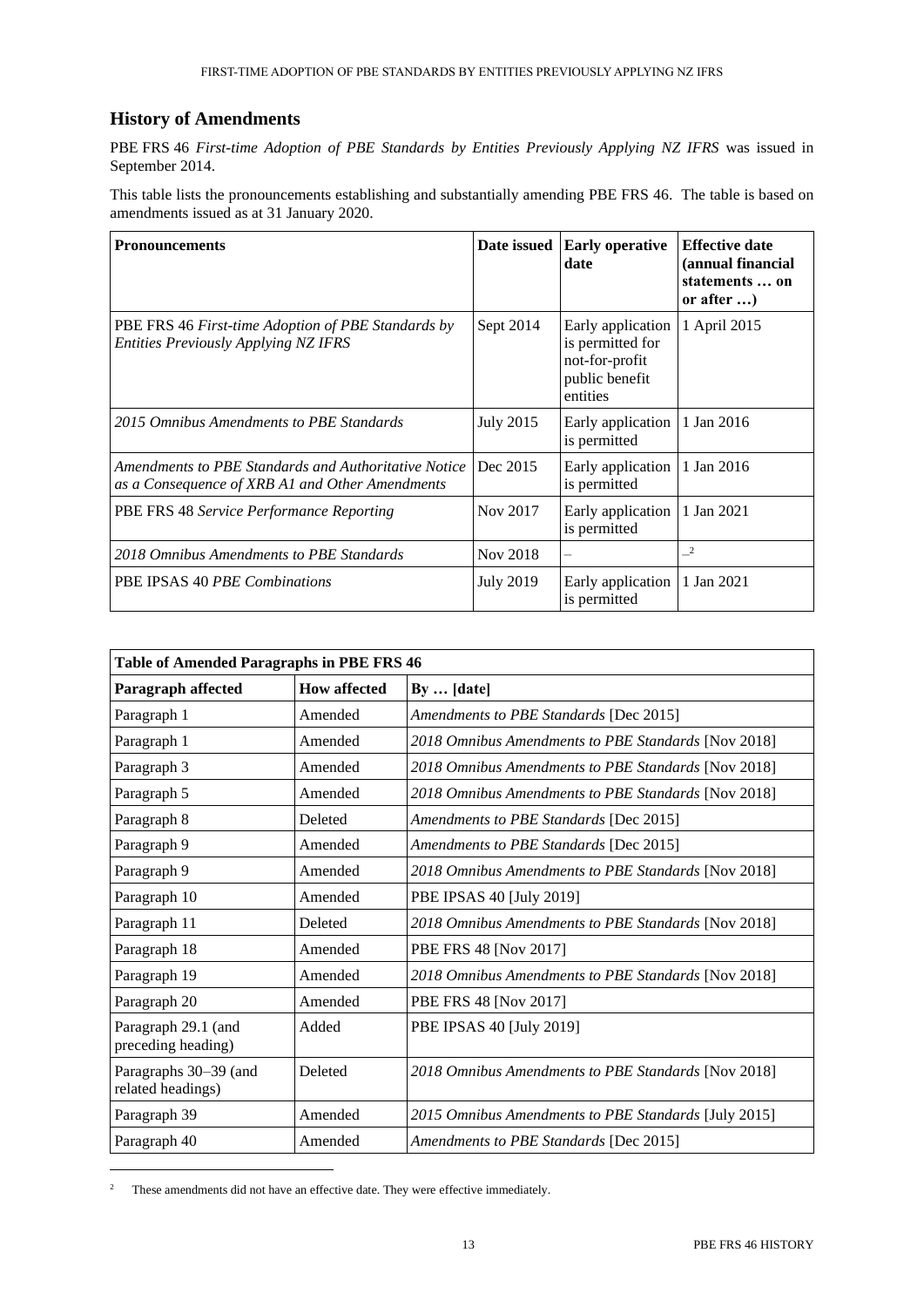# **History of Amendments**

PBE FRS 46 *First-time Adoption of PBE Standards by Entities Previously Applying NZ IFRS* was issued in September 2014.

This table lists the pronouncements establishing and substantially amending PBE FRS 46. The table is based on amendments issued as at 31 January 2020.

| <b>Pronouncements</b>                                                                                   | Date issued      | <b>Early operative</b><br>date                                                        | <b>Effective date</b><br>(annual financial<br>statements  on<br>or after ) |
|---------------------------------------------------------------------------------------------------------|------------------|---------------------------------------------------------------------------------------|----------------------------------------------------------------------------|
| PBE FRS 46 First-time Adoption of PBE Standards by<br><b>Entities Previously Applying NZ IFRS</b>       | Sept 2014        | Early application<br>is permitted for<br>not-for-profit<br>public benefit<br>entities | 1 April 2015                                                               |
| 2015 Omnibus Amendments to PBE Standards                                                                | <b>July 2015</b> | Early application<br>is permitted                                                     | 1 Jan 2016                                                                 |
| Amendments to PBE Standards and Authoritative Notice<br>as a Consequence of XRB A1 and Other Amendments | Dec 2015         | Early application<br>is permitted                                                     | 1 Jan 2016                                                                 |
| PBE FRS 48 Service Performance Reporting                                                                | Nov 2017         | Early application<br>is permitted                                                     | 1 Jan 2021                                                                 |
| 2018 Omnibus Amendments to PBE Standards                                                                | Nov 2018         | $\overline{\phantom{0}}$                                                              | $\sqrt{2}$                                                                 |
| PBE IPSAS 40 PBE Combinations                                                                           | <b>July 2019</b> | Early application<br>is permitted                                                     | 1 Jan 2021                                                                 |

| <b>Table of Amended Paragraphs in PBE FRS 46</b> |                     |                                                      |  |  |
|--------------------------------------------------|---------------------|------------------------------------------------------|--|--|
| Paragraph affected                               | <b>How affected</b> | $Bv \dots$ [date]                                    |  |  |
| Paragraph 1                                      | Amended             | Amendments to PBE Standards [Dec 2015]               |  |  |
| Paragraph 1                                      | Amended             | 2018 Omnibus Amendments to PBE Standards [Nov 2018]  |  |  |
| Paragraph 3                                      | Amended             | 2018 Omnibus Amendments to PBE Standards [Nov 2018]  |  |  |
| Paragraph 5                                      | Amended             | 2018 Omnibus Amendments to PBE Standards [Nov 2018]  |  |  |
| Paragraph 8                                      | Deleted             | Amendments to PBE Standards [Dec 2015]               |  |  |
| Paragraph 9                                      | Amended             | Amendments to PBE Standards [Dec 2015]               |  |  |
| Paragraph 9                                      | Amended             | 2018 Omnibus Amendments to PBE Standards [Nov 2018]  |  |  |
| Paragraph 10                                     | Amended             | PBE IPSAS 40 [July 2019]                             |  |  |
| Paragraph 11                                     | Deleted             | 2018 Omnibus Amendments to PBE Standards [Nov 2018]  |  |  |
| Paragraph 18                                     | Amended             | PBE FRS 48 [Nov 2017]                                |  |  |
| Paragraph 19                                     | Amended             | 2018 Omnibus Amendments to PBE Standards [Nov 2018]  |  |  |
| Paragraph 20                                     | Amended             | PBE FRS 48 [Nov 2017]                                |  |  |
| Paragraph 29.1 (and<br>preceding heading)        | Added               | PBE IPSAS 40 [July 2019]                             |  |  |
| Paragraphs 30-39 (and<br>related headings)       | Deleted             | 2018 Omnibus Amendments to PBE Standards [Nov 2018]  |  |  |
| Paragraph 39                                     | Amended             | 2015 Omnibus Amendments to PBE Standards [July 2015] |  |  |
| Paragraph 40                                     | Amended             | Amendments to PBE Standards [Dec 2015]               |  |  |

<sup>&</sup>lt;sup>2</sup> These amendments did not have an effective date. They were effective immediately.